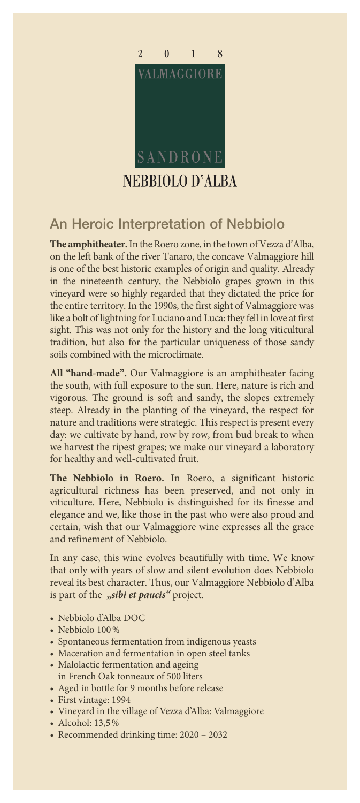

## An Heroic Interpretation of Nebbiolo

**The amphitheater.** In the Roero zone, in the town of Vezza d'Alba, on the left bank of the river Tanaro, the concave Valmaggiore hill is one of the best historic examples of origin and quality. Already in the nineteenth century, the Nebbiolo grapes grown in this vineyard were so highly regarded that they dictated the price for the entire territory. In the 1990s, the first sight of Valmaggiore was like a bolt of lightning for Luciano and Luca: they fell in love at first sight. This was not only for the history and the long viticultural tradition, but also for the particular uniqueness of those sandy soils combined with the microclimate.

**All "hand-made".** Our Valmaggiore is an amphitheater facing the south, with full exposure to the sun. Here, nature is rich and vigorous. The ground is soft and sandy, the slopes extremely steep. Already in the planting of the vineyard, the respect for nature and traditions were strategic. This respect is present every day: we cultivate by hand, row by row, from bud break to when we harvest the ripest grapes; we make our vineyard a laboratory for healthy and well-cultivated fruit.

**The Nebbiolo in Roero.** In Roero, a significant historic agricultural richness has been preserved, and not only in viticulture. Here, Nebbiolo is distinguished for its finesse and elegance and we, like those in the past who were also proud and certain, wish that our Valmaggiore wine expresses all the grace and refinement of Nebbiolo.

In any case, this wine evolves beautifully with time. We know that only with years of slow and silent evolution does Nebbiolo reveal its best character. Thus, our Valmaggiore Nebbiolo d'Alba is part of the "sibi et paucis" project.

- Nebbiolo d'Alba DOC
- Nebbiolo 100%
- Spontaneous fermentation from indigenous yeasts
- Maceration and fermentation in open steel tanks
- Malolactic fermentation and ageing
- in French Oak tonneaux of 500 liters
- Aged in bottle for 9 months before release
- First vintage: 1994
- Vineyard in the village of Vezza d'Alba: Valmaggiore
- Alcohol: 13,5%
- Recommended drinking time: 2020 2032